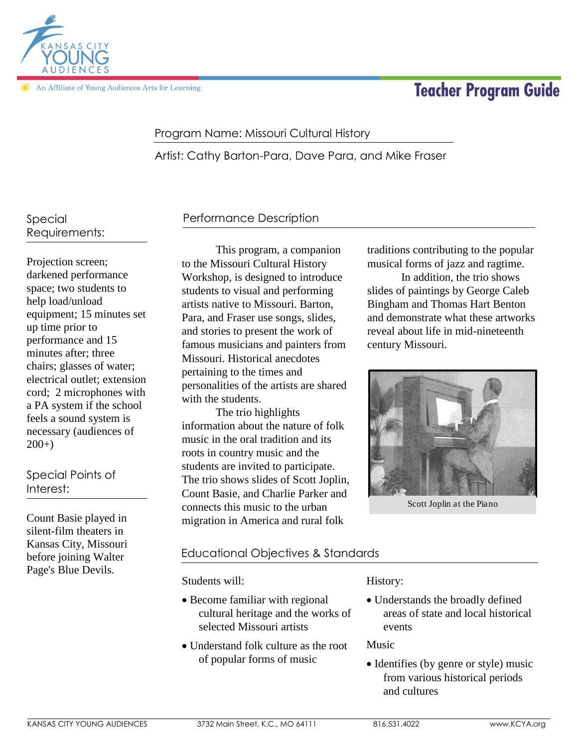

An Affiliate of Young Audiences Arts for Learning

# **Teacher Program Guide**

### Program Name: Missouri Cultural History

Artist: Cathy Barton-Para, Dave Para, and Mike Fraser

## Special Requirements:

Projection screen; darkened performance space; two students to help load/unload equipment; 15 minutes set up time prior to performance and 15 minutes after; three chairs; glasses of water; electrical outlet; extension cord; 2 microphones with a PA system if the school feels a sound system is necessary (audiences of 200+)

# Special Points of Interest:

Count Basie played in silent-film theaters in Kansas City, Missouri before joining Walter Page's Blue Devils.

# Performance Description

This program, a companion to the Missouri Cultural History Workshop, is designed to introduce students to visual and performing artists native to Missouri. Barton, Para, and Fraser use songs, slides, and stories to present the work of famous musicians and painters from Missouri. Historical anecdotes pertaining to the times and personalities of the artists are shared with the students.

The trio highlights information about the nature of folk music in the oral tradition and its roots in country music and the students are invited to participate. The trio shows slides of Scott Joplin, Count Basie, and Charlie Parker and connects this music to the urban migration in America and rural folk

#### traditions contributing to the popular musical forms of jazz and ragtime.

In addition, the trio shows slides of paintings by George Caleb Bingham and Thomas Hart Benton and demonstrate what these artworks reveal about life in mid-nineteenth century Missouri.



Scott Joplin at the Piano

### Educational Objectives & Standards

Students will:

- Become familiar with regional cultural heritage and the works of selected Missouri artists
- Understand folk culture as the root of popular forms of music

History:

 Understands the broadly defined areas of state and local historical events

Music

• Identifies (by genre or style) music from various historical periods and cultures